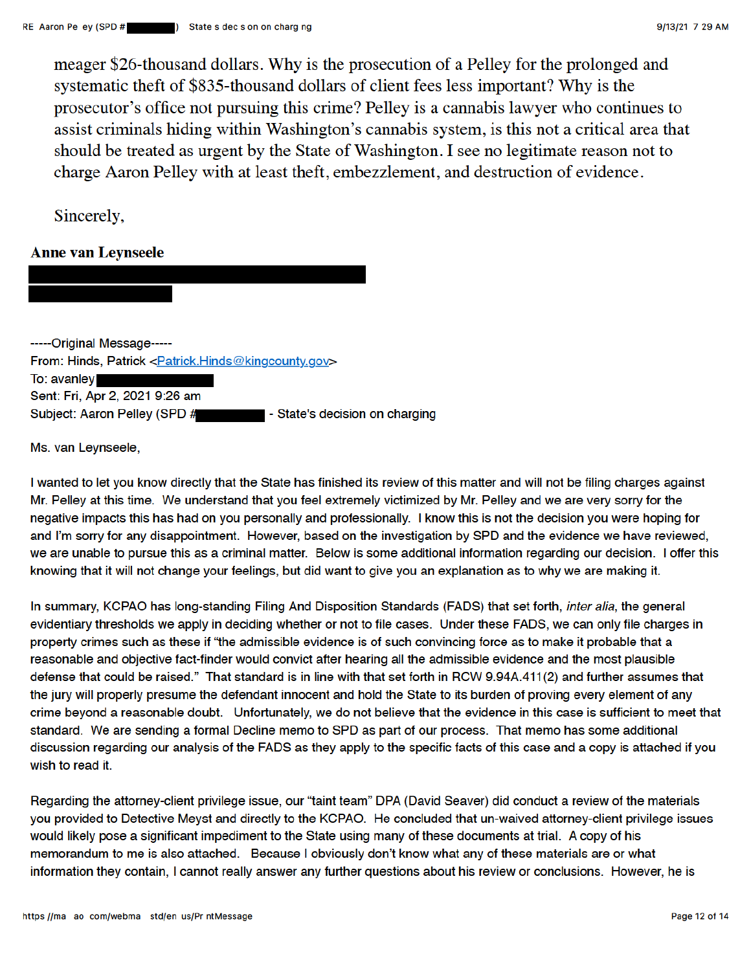meager \$26-thousand dollars. Why is the prosecution of a Pelley for the prolonged and systematic theft of \$835-thousand dollars of client fees less important? Why is the prosecutor's office not pursuing this crime? Pelley is a cannabis lawyer who continues to assist criminals hiding within Washington's cannabis system, is this not a critical area that should be treated as urgent by the State of Washington. I see no legitimate reason not to charge Aaron Pelley with at least theft, embezzlement, and destruction of evidence.

Sincerely,

## **Anne van Leynseele**

-----Original Message-----From: Hinds, Patrick < Patrick. Hinds @kingcounty.gov> To: avanley Sent: Fri, Apr 2, 2021 9:26 am Subject: Aaron Pelley (SPD # - State's decision on charging

Ms. van Leynseele.

I wanted to let you know directly that the State has finished its review of this matter and will not be filing charges against Mr. Pelley at this time. We understand that you feel extremely victimized by Mr. Pelley and we are very sorry for the negative impacts this has had on you personally and professionally. I know this is not the decision you were hoping for and I'm sorry for any disappointment. However, based on the investigation by SPD and the evidence we have reviewed, we are unable to pursue this as a criminal matter. Below is some additional information regarding our decision. I offer this knowing that it will not change your feelings, but did want to give you an explanation as to why we are making it.

In summary, KCPAO has long-standing Filing And Disposition Standards (FADS) that set forth, inter alia, the general evidentiary thresholds we apply in deciding whether or not to file cases. Under these FADS, we can only file charges in property crimes such as these if "the admissible evidence is of such convincing force as to make it probable that a reasonable and objective fact-finder would convict after hearing all the admissible evidence and the most plausible defense that could be raised." That standard is in line with that set forth in RCW 9.94A.411(2) and further assumes that the jury will properly presume the defendant innocent and hold the State to its burden of proving every element of any crime bevond a reasonable doubt. Unfortunately, we do not believe that the evidence in this case is sufficient to meet that standard. We are sending a formal Decline memo to SPD as part of our process. That memo has some additional discussion regarding our analysis of the FADS as they apply to the specific facts of this case and a copy is attached if you wish to read it.

Regarding the attorney-client privilege issue, our "taint team" DPA (David Seaver) did conduct a review of the materials you provided to Detective Meyst and directly to the KCPAO. He concluded that un-waived attorney-client privilege issues would likely pose a significant impediment to the State using many of these documents at trial. A copy of his memorandum to me is also attached. Because I obviously don't know what any of these materials are or what information they contain, I cannot really answer any further questions about his review or conclusions. However, he is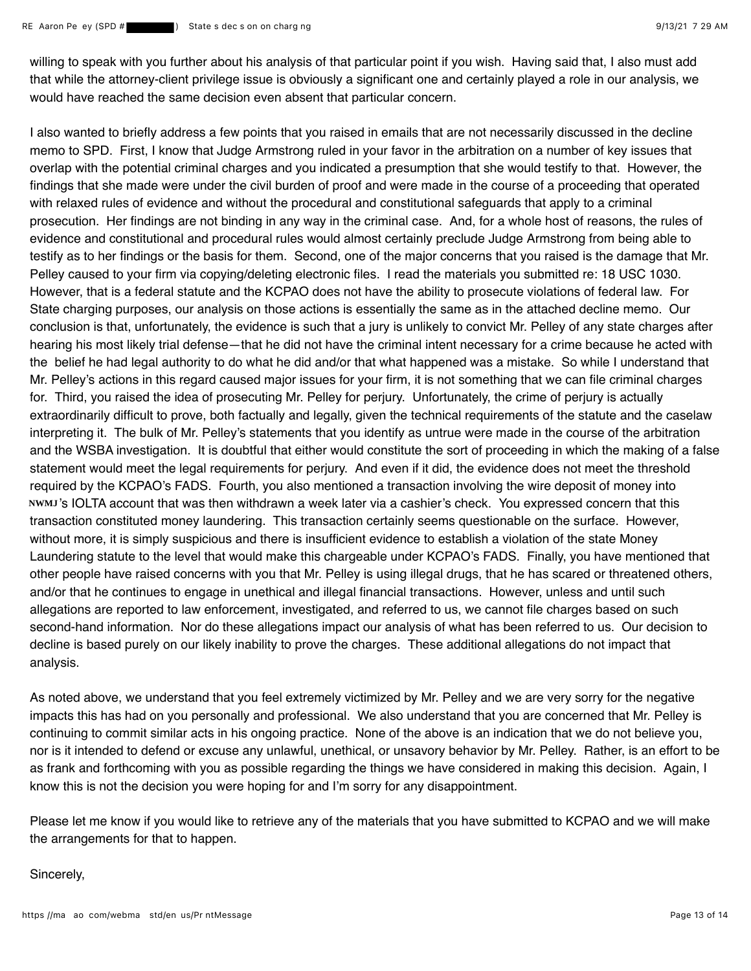willing to speak with you further about his analysis of that particular point if you wish. Having said that, I also must add that while the attorney-client privilege issue is obviously a significant one and certainly played a role in our analysis, we would have reached the same decision even absent that particular concern.

I also wanted to briefly address a few points that you raised in emails that are not necessarily discussed in the decline memo to SPD. First, I know that Judge Armstrong ruled in your favor in the arbitration on a number of key issues that overlap with the potential criminal charges and you indicated a presumption that she would testify to that. However, the findings that she made were under the civil burden of proof and were made in the course of a proceeding that operated with relaxed rules of evidence and without the procedural and constitutional safeguards that apply to a criminal prosecution. Her findings are not binding in any way in the criminal case. And, for a whole host of reasons, the rules of evidence and constitutional and procedural rules would almost certainly preclude Judge Armstrong from being able to testify as to her findings or the basis for them. Second, one of the major concerns that you raised is the damage that Mr. Pelley caused to your firm via copying/deleting electronic files. I read the materials you submitted re: 18 USC 1030. However, that is a federal statute and the KCPAO does not have the ability to prosecute violations of federal law. For State charging purposes, our analysis on those actions is essentially the same as in the attached decline memo. Our conclusion is that, unfortunately, the evidence is such that a jury is unlikely to convict Mr. Pelley of any state charges after hearing his most likely trial defense—that he did not have the criminal intent necessary for a crime because he acted with the belief he had legal authority to do what he did and/or that what happened was a mistake. So while I understand that Mr. Pelley's actions in this regard caused major issues for your firm, it is not something that we can file criminal charges for. Third, you raised the idea of prosecuting Mr. Pelley for perjury. Unfortunately, the crime of perjury is actually extraordinarily difficult to prove, both factually and legally, given the technical requirements of the statute and the caselaw interpreting it. The bulk of Mr. Pelley's statements that you identify as untrue were made in the course of the arbitration and the WSBA investigation. It is doubtful that either would constitute the sort of proceeding in which the making of a false statement would meet the legal requirements for perjury. And even if it did, the evidence does not meet the threshold required by the KCPAO's FADS. Fourth, you also mentioned a transaction involving the wire deposit of money into NWMJ's IOLTA account that was then withdrawn a week later via a cashier's check. You expressed concern that this transaction constituted money laundering. This transaction certainly seems questionable on the surface. However, without more, it is simply suspicious and there is insufficient evidence to establish a violation of the state Money Laundering statute to the level that would make this chargeable under KCPAO's FADS. Finally, you have mentioned that other people have raised concerns with you that Mr. Pelley is using illegal drugs, that he has scared or threatened others, and/or that he continues to engage in unethical and illegal financial transactions. However, unless and until such allegations are reported to law enforcement, investigated, and referred to us, we cannot file charges based on such second-hand information. Nor do these allegations impact our analysis of what has been referred to us. Our decision to decline is based purely on our likely inability to prove the charges. These additional allegations do not impact that analysis.

As noted above, we understand that you feel extremely victimized by Mr. Pelley and we are very sorry for the negative impacts this has had on you personally and professional. We also understand that you are concerned that Mr. Pelley is continuing to commit similar acts in his ongoing practice. None of the above is an indication that we do not believe you, nor is it intended to defend or excuse any unlawful, unethical, or unsavory behavior by Mr. Pelley. Rather, is an effort to be as frank and forthcoming with you as possible regarding the things we have considered in making this decision. Again, I know this is not the decision you were hoping for and I'm sorry for any disappointment.

Please let me know if you would like to retrieve any of the materials that you have submitted to KCPAO and we will make the arrangements for that to happen.

Sincerely,